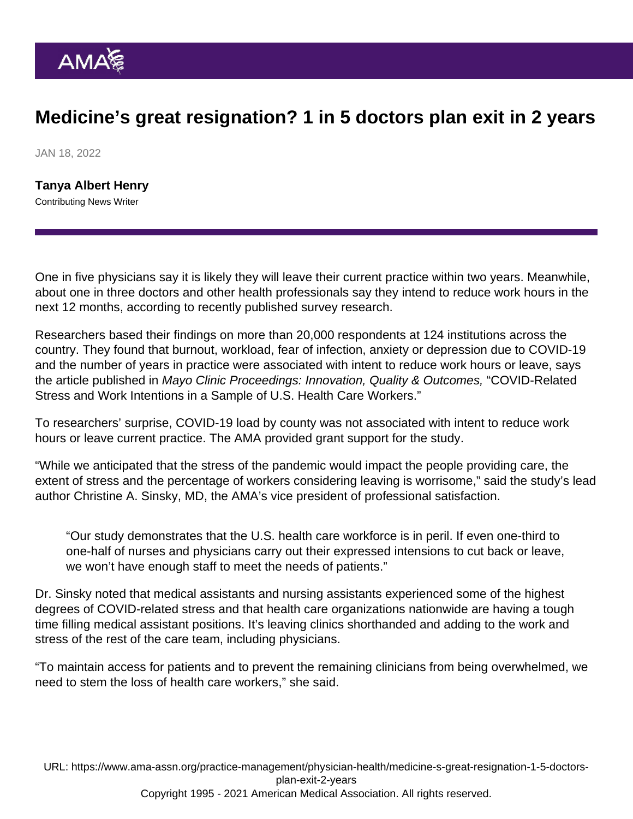## Medicine's great resignation? 1 in 5 doctors plan exit in 2 years

JAN 18, 2022

[Tanya Albert Henry](https://www.ama-assn.org/news-leadership-viewpoints/authors-news-leadership-viewpoints/tanya-albert-henry) Contributing News Writer

One in five physicians say it is likely they will leave their current practice within two years. Meanwhile, about one in three doctors and other health professionals say they intend to reduce work hours in the next 12 months, according to recently published survey research.

Researchers based their findings on more than 20,000 respondents at 124 institutions across the country. They found that burnout, workload, fear of infection, anxiety or depression due to COVID-19 and the number of years in practice were associated with intent to reduce work hours or leave, says the article published in Mayo Clinic Proceedings: Innovation, Quality & Outcomes, "[COVID-Related](https://www.mcpiqojournal.org/article/S2542-4548(21)00126-0/fulltext) [Stress and Work Intentions in a Sample of U.S. Health Care Workers](https://www.mcpiqojournal.org/article/S2542-4548(21)00126-0/fulltext)."

To researchers' surprise, COVID-19 load by county was not associated with intent to reduce work hours or leave current practice. The AMA provided grant support for the study.

"While we anticipated that the stress of the pandemic would impact the people providing care, the extent of stress and the percentage of workers considering leaving is worrisome," said the study's lead author [Christine A. Sinsky, MD](https://www.ama-assn.org/practice-management/physician-health/quest-never-waste-step), the AMA's vice president of professional satisfaction.

"Our study demonstrates that the U.S. health care workforce is in peril. If even one-third to one-half of nurses and physicians carry out their expressed intensions to cut back or leave, we won't have enough staff to meet the needs of patients."

Dr. Sinsky noted that medical assistants and nursing assistants experienced some of the highest degrees of COVID-related stress and that health care organizations nationwide are having a tough time filling medical assistant positions. It's leaving clinics shorthanded and adding to the work and stress of the rest of the care team, including physicians.

"To maintain access for patients and to prevent the remaining clinicians from being overwhelmed, we need to stem the loss of health care workers," she said.

URL: [https://www.ama-assn.org/practice-management/physician-health/medicine-s-great-resignation-1-5-doctors](https://www.ama-assn.org/practice-management/physician-health/medicine-s-great-resignation-1-5-doctors-plan-exit-2-years)[plan-exit-2-years](https://www.ama-assn.org/practice-management/physician-health/medicine-s-great-resignation-1-5-doctors-plan-exit-2-years) Copyright 1995 - 2021 American Medical Association. All rights reserved.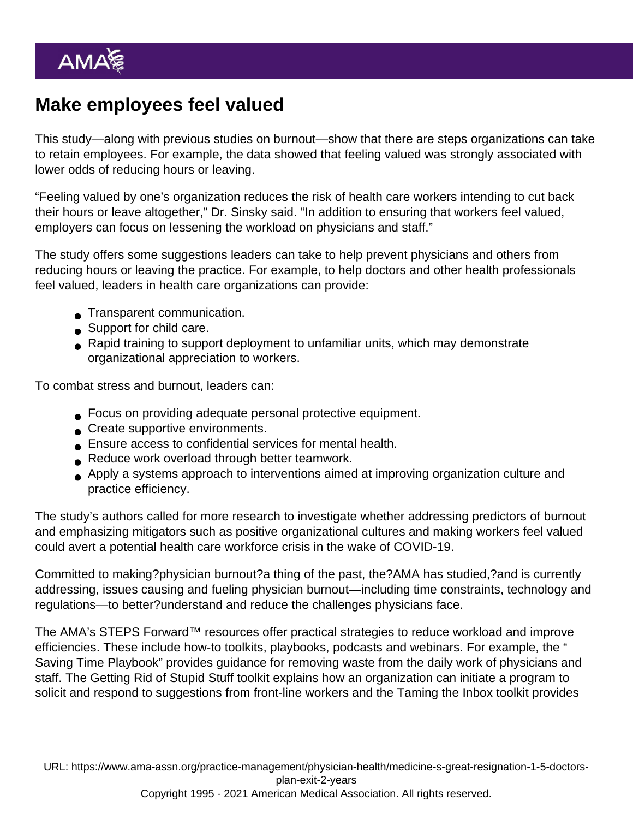## Make employees feel valued

This study—along with previous studies on burnout—show that there are steps organizations can take to retain employees. For example, the data showed that feeling valued was strongly associated with lower odds of reducing hours or leaving.

"Feeling valued by one's organization reduces the risk of health care workers intending to cut back their hours or leave altogether," Dr. Sinsky said. "In addition to ensuring that workers feel valued, employers can focus on lessening the workload on physicians and staff."

The study offers some suggestions leaders can take to help prevent physicians and others from reducing hours or leaving the practice. For example, to help doctors and other health professionals feel valued, leaders in health care organizations can provide:

- **Transparent communication.**
- Support for child care.
- Rapid training to support deployment to unfamiliar units, which may demonstrate organizational appreciation to workers.

To combat stress and burnout, leaders can:

- Focus on providing adequate personal protective equipment.
- Create supportive environments.
- Ensure access to confidential services for mental health.
- Reduce work overload through better teamwork.
- Apply a systems approach to interventions aimed at improving organization culture and practice efficiency.

The study's authors called for more research to investigate whether addressing predictors of burnout and emphasizing mitigators such as positive organizational cultures and making workers feel valued could avert a potential health care workforce crisis in the wake of COVID-19.

Committed to making[?physician burnout](https://www.ama-assn.org/amaone/equipping-physicians-manage-burnout)?a thing of the past, the?AMA has studied,?and is currently addressing, issues causing and fueling physician burnout—including time constraints, technology and regulations—to better?understand and reduce the challenges physicians face.

The AMA's STEPS Forward™ resources offer practical strategies to reduce workload and improve efficiencies. These include how-to [toolkits,](https://edhub.ama-assn.org/steps-forward) playbooks, [podcasts](https://podcasts.apple.com/us/podcast/ama-steps-forward-podcast/id1568105695) and [webinars.](https://www.ama-assn.org/practice-management/sustainability/ama-steps-forward-webinar-series-recorded-events) For example, the " [Saving Time Playbook](https://www.ama-assn.org/system/files/ama-steps-forward-saving-time-playbook.pdf)" provides guidance for removing waste from the daily work of physicians and staff. The [Getting Rid of Stupid Stuff](https://edhub.ama-assn.org/steps-forward/module/2757858) toolkit explains how an organization can initiate a program to solicit and respond to suggestions from front-line workers and the [Taming the Inbox](https://edhub.ama-assn.org/steps-forward/module/2702694) toolkit provides

URL: [https://www.ama-assn.org/practice-management/physician-health/medicine-s-great-resignation-1-5-doctors](https://www.ama-assn.org/practice-management/physician-health/medicine-s-great-resignation-1-5-doctors-plan-exit-2-years)[plan-exit-2-years](https://www.ama-assn.org/practice-management/physician-health/medicine-s-great-resignation-1-5-doctors-plan-exit-2-years) Copyright 1995 - 2021 American Medical Association. All rights reserved.